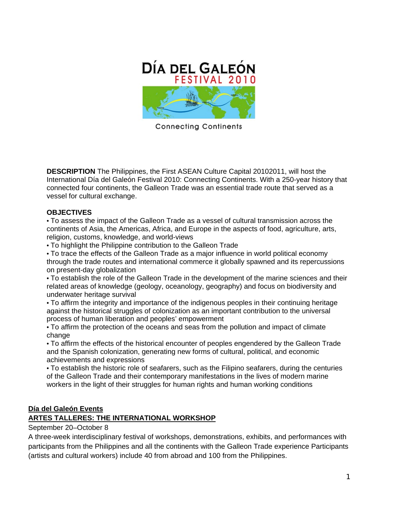

**Connecting Continents** 

**DESCRIPTION** The Philippines, the First ASEAN Culture Capital 20102011, will host the International Día del Galeón Festival 2010: Connecting Continents. With a 250-year history that connected four continents, the Galleon Trade was an essential trade route that served as a vessel for cultural exchange.

### **OBJECTIVES**

• To assess the impact of the Galleon Trade as a vessel of cultural transmission across the continents of Asia, the Americas, Africa, and Europe in the aspects of food, agriculture, arts, religion, customs, knowledge, and world-views

• To highlight the Philippine contribution to the Galleon Trade

• To trace the effects of the Galleon Trade as a major influence in world political economy through the trade routes and international commerce it globally spawned and its repercussions on present-day globalization

• To establish the role of the Galleon Trade in the development of the marine sciences and their related areas of knowledge (geology, oceanology, geography) and focus on biodiversity and underwater heritage survival

• To affirm the integrity and importance of the indigenous peoples in their continuing heritage against the historical struggles of colonization as an important contribution to the universal process of human liberation and peoples' empowerment

• To affirm the protection of the oceans and seas from the pollution and impact of climate change

• To affirm the effects of the historical encounter of peoples engendered by the Galleon Trade and the Spanish colonization, generating new forms of cultural, political, and economic achievements and expressions

• To establish the historic role of seafarers, such as the Filipino seafarers, during the centuries of the Galleon Trade and their contemporary manifestations in the lives of modern marine workers in the light of their struggles for human rights and human working conditions

### **Día del Galeón Events**

# **ARTES TALLERES: THE INTERNATIONAL WORKSHOP**

September 20–October 8

A three-week interdisciplinary festival of workshops, demonstrations, exhibits, and performances with participants from the Philippines and all the continents with the Galleon Trade experience Participants (artists and cultural workers) include 40 from abroad and 100 from the Philippines.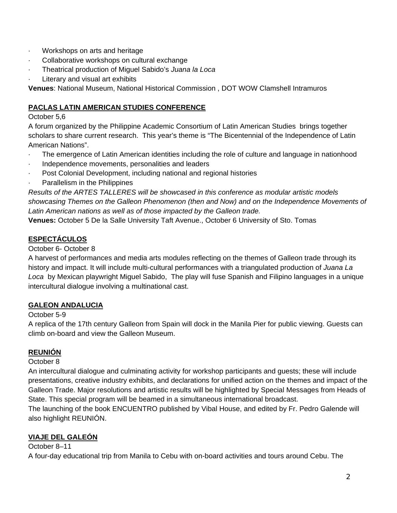- · Workshops on arts and heritage
- Collaborative workshops on cultural exchange
- · Theatrical production of Miguel Sabido's *Juana la Loca*
- Literary and visual art exhibits

**Venues**: National Museum, National Historical Commission , DOT WOW Clamshell Intramuros

# **PACLAS LATIN AMERICAN STUDIES CONFERENCE**

# October 5,6

A forum organized by the Philippine Academic Consortium of Latin American Studies brings together scholars to share current research. This year's theme is "The Bicentennial of the Independence of Latin American Nations".

- · The emergence of Latin American identities including the role of culture and language in nationhood
- Independence movements, personalities and leaders
- Post Colonial Development, including national and regional histories
- Parallelism in the Philippines

*Results of the ARTES TALLERES will be showcased in this conference as modular artistic models showcasing Themes on the Galleon Phenomenon (then and Now) and on the Independence Movements of Latin American nations as well as of those impacted by the Galleon trade.*

**Venues:** October 5 De la Salle University Taft Avenue., October 6 University of Sto. Tomas

# **ESPECTÁCULOS**

# October 6- October 8

A harvest of performances and media arts modules reflecting on the themes of Galleon trade through its history and impact. It will include multi-cultural performances with a triangulated production of *Juana La Loca* by Mexican playwright Miguel Sabido, The play will fuse Spanish and Filipino languages in a unique intercultural dialogue involving a multinational cast.

# **GALEON ANDALUCIA**

# October 5-9

A replica of the 17th century Galleon from Spain will dock in the Manila Pier for public viewing. Guests can climb on-board and view the Galleon Museum.

# **REUNIÓN**

# October 8

An intercultural dialogue and culminating activity for workshop participants and guests; these will include presentations, creative industry exhibits, and declarations for unified action on the themes and impact of the Galleon Trade. Major resolutions and artistic results will be highlighted by Special Messages from Heads of State. This special program will be beamed in a simultaneous international broadcast.

The launching of the book ENCUENTRO published by Vibal House, and edited by Fr. Pedro Galende will also highlight REUNIÓN.

# **VIAJE DEL GALEÓN**

# October 8–11

A four-day educational trip from Manila to Cebu with on-board activities and tours around Cebu. The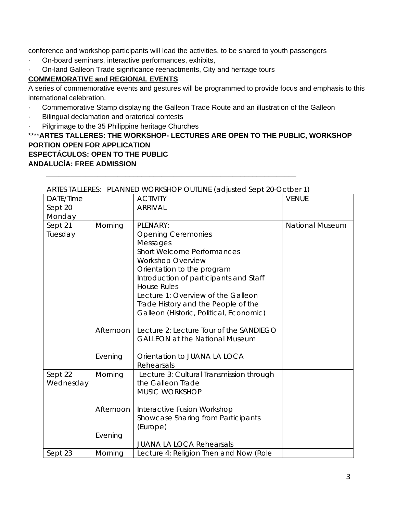conference and workshop participants will lead the activities, to be shared to youth passengers

- · On-board seminars, interactive performances, exhibits,
- · On-land Galleon Trade significance reenactments, City and heritage tours

# **COMMEMORATIVE and REGIONAL EVENTS**

A series of commemorative events and gestures will be programmed to provide focus and emphasis to this international celebration.

- · Commemorative Stamp displaying the Galleon Trade Route and an illustration of the Galleon
- Bilingual declamation and oratorical contests
- Pilgrimage to the 35 Philippine heritage Churches

# \*\*\*\***ARTES TALLERES: THE WORKSHOP- LECTURES ARE OPEN TO THE PUBLIC, WORKSHOP PORTION OPEN FOR APPLICATION ESPECTÁCULOS: OPEN TO THE PUBLIC ANDALUCÍA: FREE ADMISSION**

| ARTES TALLERES: PLANNED WORKSHOP OUTLINE (adjusted Sept 20-OCTDef T) |           |                                          |                        |
|----------------------------------------------------------------------|-----------|------------------------------------------|------------------------|
| DATE/Time                                                            |           | <b>ACTIVITY</b>                          | <b>VENUE</b>           |
| Sept 20                                                              |           | <b>ARRIVAL</b>                           |                        |
| Monday                                                               |           |                                          |                        |
| Sept 21                                                              | Morning   | PLENARY:                                 | <b>National Museum</b> |
| Tuesday                                                              |           | <b>Opening Ceremonies</b>                |                        |
|                                                                      |           | Messages                                 |                        |
|                                                                      |           | <b>Short Welcome Performances</b>        |                        |
|                                                                      |           | <b>Workshop Overview</b>                 |                        |
|                                                                      |           | Orientation to the program               |                        |
|                                                                      |           | Introduction of participants and Staff   |                        |
|                                                                      |           | <b>House Rules</b>                       |                        |
|                                                                      |           | Lecture 1: Overview of the Galleon       |                        |
|                                                                      |           | Trade History and the People of the      |                        |
|                                                                      |           | Galleon (Historic, Political, Economic)  |                        |
|                                                                      |           |                                          |                        |
|                                                                      | Afternoon | Lecture 2: Lecture Tour of the SANDIEGO  |                        |
|                                                                      |           | <b>GALLEON at the National Museum</b>    |                        |
|                                                                      | Evening   | Orientation to JUANA LA LOCA             |                        |
|                                                                      |           | Rehearsals                               |                        |
| Sept 22                                                              | Morning   | Lecture 3: Cultural Transmission through |                        |
| Wednesday                                                            |           | the Galleon Trade                        |                        |
|                                                                      |           | MUSIC WORKSHOP                           |                        |
|                                                                      |           |                                          |                        |
|                                                                      | Afternoon | Interactive Fusion Workshop              |                        |
|                                                                      |           | Showcase Sharing from Participants       |                        |
|                                                                      |           | (Europe)                                 |                        |
|                                                                      | Evening   |                                          |                        |
|                                                                      |           | <b>JUANA LA LOCA Rehearsals</b>          |                        |
| Sept 23                                                              | Morning   | Lecture 4: Religion Then and Now (Role   |                        |

# ARTES TALLERES: PLANNED WORKSHOP OUTLINE (adjusted Sept 20-Octber 1)

*\_\_\_\_\_\_\_\_\_\_\_\_\_\_\_\_\_\_\_\_\_\_\_\_\_\_\_\_\_\_\_\_\_\_\_\_\_\_\_\_\_\_\_\_\_\_\_\_\_\_\_\_\_\_\_\_\_\_\_\_\_\_\_*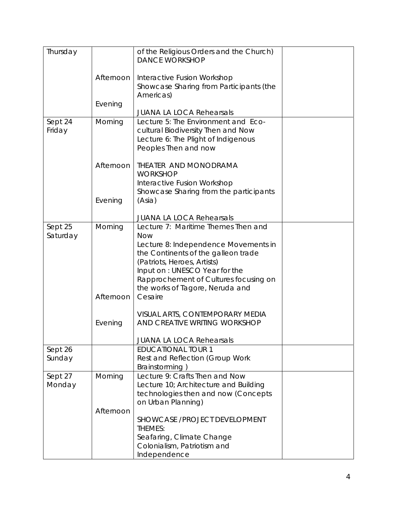| Thursday |           | of the Religious Orders and the Church) |  |
|----------|-----------|-----------------------------------------|--|
|          |           | <b>DANCE WORKSHOP</b>                   |  |
|          |           |                                         |  |
|          | Afternoon | Interactive Fusion Workshop             |  |
|          |           |                                         |  |
|          |           | Showcase Sharing from Participants (the |  |
|          |           | Americas)                               |  |
|          | Evening   |                                         |  |
|          |           | <b>JUANA LA LOCA Rehearsals</b>         |  |
| Sept 24  | Morning   | Lecture 5: The Environment and Eco-     |  |
| Friday   |           | cultural Biodiversity Then and Now      |  |
|          |           |                                         |  |
|          |           | Lecture 6: The Plight of Indigenous     |  |
|          |           | Peoples Then and now                    |  |
|          |           |                                         |  |
|          | Afternoon | THEATER AND MONODRAMA                   |  |
|          |           | <b>WORKSHOP</b>                         |  |
|          |           | Interactive Fusion Workshop             |  |
|          |           | Showcase Sharing from the participants  |  |
|          | Evening   | (Asia)                                  |  |
|          |           |                                         |  |
|          |           | <b>JUANA LA LOCA Rehearsals</b>         |  |
|          |           | Lecture 7: Maritime Themes Then and     |  |
| Sept 25  | Morning   |                                         |  |
| Saturday |           | <b>Now</b>                              |  |
|          |           | Lecture 8: Independence Movements in    |  |
|          |           | the Continents of the galleon trade     |  |
|          |           | (Patriots, Heroes, Artists)             |  |
|          |           |                                         |  |
|          |           | Input on: UNESCO Year for the           |  |
|          |           | Rapprochement of Cultures focusing on   |  |
|          |           | the works of Tagore, Neruda and         |  |
|          | Afternoon | Cesaire                                 |  |
|          |           |                                         |  |
|          |           | VISUAL ARTS, CONTEMPORARY MEDIA         |  |
|          |           |                                         |  |
|          | Evening   | AND CREATIVE WRITING WORKSHOP           |  |
|          |           |                                         |  |
|          |           | <b>JUANA LA LOCA Rehearsals</b>         |  |
| Sept 26  |           | <b>EDUCATIONAL TOUR 1</b>               |  |
| Sunday   |           | Rest and Reflection (Group Work         |  |
|          |           | Brainstorming)                          |  |
| Sept 27  | Morning   | Lecture 9: Crafts Then and Now          |  |
|          |           |                                         |  |
| Monday   |           | Lecture 10; Architecture and Building   |  |
|          |           | technologies then and now (Concepts     |  |
|          |           | on Urban Planning)                      |  |
|          | Afternoon |                                         |  |
|          |           | SHOWCASE / PROJECT DEVELOPMENT          |  |
|          |           |                                         |  |
|          |           | THEMES:                                 |  |
|          |           | Seafaring, Climate Change               |  |
|          |           | Colonialism, Patriotism and             |  |
|          |           | Independence                            |  |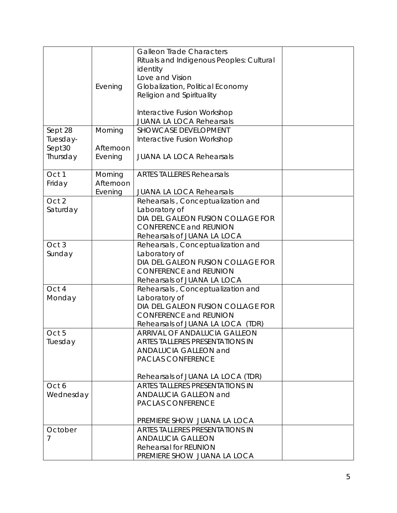|           |           | <b>Galleon Trade Characters</b>          |  |
|-----------|-----------|------------------------------------------|--|
|           |           | Rituals and Indigenous Peoples: Cultural |  |
|           |           | identity                                 |  |
|           |           | Love and Vision                          |  |
|           |           |                                          |  |
|           | Evening   | Globalization, Political Economy         |  |
|           |           | Religion and Spirituality                |  |
|           |           |                                          |  |
|           |           | Interactive Fusion Workshop              |  |
|           |           | <b>JUANA LA LOCA Rehearsals</b>          |  |
| Sept 28   | Morning   | <b>SHOWCASE DEVELOPMENT</b>              |  |
| Tuesday-  |           | Interactive Fusion Workshop              |  |
| Sept30    | Afternoon |                                          |  |
| Thursday  | Evening   | <b>JUANA LA LOCA Rehearsals</b>          |  |
|           |           |                                          |  |
| Oct 1     | Morning   | <b>ARTES TALLERES Rehearsals</b>         |  |
| Friday    | Afternoon |                                          |  |
|           | Evening   | <b>JUANA LA LOCA Rehearsals</b>          |  |
| Oct 2     |           | Rehearsals, Conceptualization and        |  |
| Saturday  |           | Laboratory of                            |  |
|           |           | DIA DEL GALEON FUSION COLLAGE FOR        |  |
|           |           | <b>CONFERENCE and REUNION</b>            |  |
|           |           | Rehearsals of JUANA LA LOCA              |  |
| Oct 3     |           |                                          |  |
|           |           | Rehearsals, Conceptualization and        |  |
| Sunday    |           | Laboratory of                            |  |
|           |           | DIA DEL GALEON FUSION COLLAGE FOR        |  |
|           |           | <b>CONFERENCE and REUNION</b>            |  |
|           |           | Rehearsals of JUANA LA LOCA              |  |
| Oct 4     |           | Rehearsals, Conceptualization and        |  |
| Monday    |           | Laboratory of                            |  |
|           |           | DIA DEL GALEON FUSION COLLAGE FOR        |  |
|           |           | <b>CONFERENCE and REUNION</b>            |  |
|           |           | Rehearsals of JUANA LA LOCA (TDR)        |  |
| Oct 5     |           | ARRIVAL OF ANDALUCIA GALLEON             |  |
| Tuesday   |           | <b>ARTES TALLERES PRESENTATIONS IN</b>   |  |
|           |           | <b>ANDALUCIA GALLEON and</b>             |  |
|           |           | <b>PACLAS CONFERENCE</b>                 |  |
|           |           |                                          |  |
|           |           | Rehearsals of JUANA LA LOCA (TDR)        |  |
| Oct 6     |           | ARTES TALLERES PRESENTATIONS IN          |  |
| Wednesday |           | ANDALUCIA GALLEON and                    |  |
|           |           | <b>PACLAS CONFERENCE</b>                 |  |
|           |           |                                          |  |
|           |           | PREMIERE SHOW JUANA LA LOCA              |  |
|           |           |                                          |  |
| October   |           | ARTES TALLERES PRESENTATIONS IN          |  |
| 7         |           | <b>ANDALUCIA GALLEON</b>                 |  |
|           |           | <b>Rehearsal for REUNION</b>             |  |
|           |           | PREMIERE SHOW JUANA LA LOCA              |  |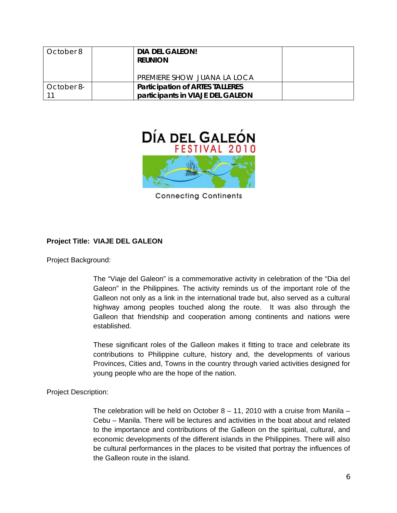| October 8  | <b>DIA DEL GALEON!</b><br><b>REUNION</b> |  |
|------------|------------------------------------------|--|
|            | PREMIERE SHOW JUANA LA LOCA              |  |
| October 8- | <b>Participation of ARTES TALLERES</b>   |  |
|            | participants in VIAJE DEL GALEON         |  |



**Connecting Continents** 

## **Project Title: VIAJE DEL GALEON**

Project Background:

The "Viaje del Galeon" is a commemorative activity in celebration of the "Dia del Galeon" in the Philippines. The activity reminds us of the important role of the Galleon not only as a link in the international trade but, also served as a cultural highway among peoples touched along the route. It was also through the Galleon that friendship and cooperation among continents and nations were established.

These significant roles of the Galleon makes it fitting to trace and celebrate its contributions to Philippine culture, history and, the developments of various Provinces, Cities and, Towns in the country through varied activities designed for young people who are the hope of the nation.

Project Description:

The celebration will be held on October  $8 - 11$ , 2010 with a cruise from Manila – Cebu – Manila. There will be lectures and activities in the boat about and related to the importance and contributions of the Galleon on the spiritual, cultural, and economic developments of the different islands in the Philippines. There will also be cultural performances in the places to be visited that portray the influences of the Galleon route in the island.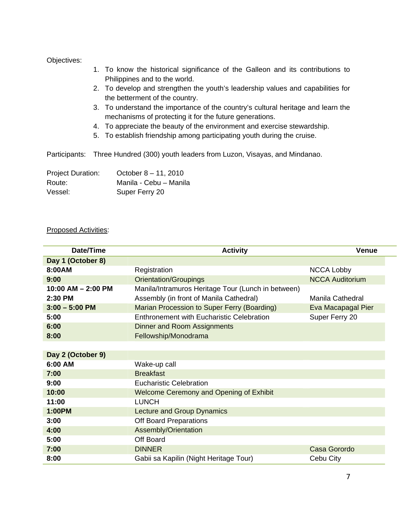#### Objectives:

- 1. To know the historical significance of the Galleon and its contributions to Philippines and to the world.
- 2. To develop and strengthen the youth's leadership values and capabilities for the betterment of the country.
- 3. To understand the importance of the country's cultural heritage and learn the mechanisms of protecting it for the future generations.
- 4. To appreciate the beauty of the environment and exercise stewardship.
- 5. To establish friendship among participating youth during the cruise.

Participants: Three Hundred (300) youth leaders from Luzon, Visayas, and Mindanao.

| <b>Project Duration:</b> | October $8 - 11$ , 2010 |
|--------------------------|-------------------------|
| Route:                   | Manila - Cebu - Manila  |
| Vessel:                  | Super Ferry 20          |

#### Proposed Activities:

| Date/Time              | <b>Activity</b>                                    | <b>Venue</b>           |
|------------------------|----------------------------------------------------|------------------------|
| Day 1 (October 8)      |                                                    |                        |
| 8:00AM                 | Registration                                       | <b>NCCA Lobby</b>      |
| 9:00                   | <b>Orientation/Groupings</b>                       | <b>NCCA Auditorium</b> |
| $10:00$ AM $- 2:00$ PM | Manila/Intramuros Heritage Tour (Lunch in between) |                        |
| 2:30 PM                | Assembly (in front of Manila Cathedral)            | Manila Cathedral       |
| $3:00 - 5:00$ PM       | Marian Procession to Super Ferry (Boarding)        | Eva Macapagal Pier     |
| 5:00                   | <b>Enthronement with Eucharistic Celebration</b>   | Super Ferry 20         |
| 6:00                   | <b>Dinner and Room Assignments</b>                 |                        |
| 8:00                   | Fellowship/Monodrama                               |                        |
|                        |                                                    |                        |
| Day 2 (October 9)      |                                                    |                        |
| 6:00 AM                | Wake-up call                                       |                        |
| 7:00                   | <b>Breakfast</b>                                   |                        |
| 9:00                   | <b>Eucharistic Celebration</b>                     |                        |
| 10:00                  | <b>Welcome Ceremony and Opening of Exhibit</b>     |                        |
| 11:00                  | <b>LUNCH</b>                                       |                        |
| 1:00PM                 | <b>Lecture and Group Dynamics</b>                  |                        |
| 3:00                   | <b>Off Board Preparations</b>                      |                        |
| 4:00                   | Assembly/Orientation                               |                        |
| 5:00                   | Off Board                                          |                        |
| 7:00                   | <b>DINNER</b>                                      | Casa Gorordo           |
| 8:00                   | Gabii sa Kapilin (Night Heritage Tour)             | Cebu City              |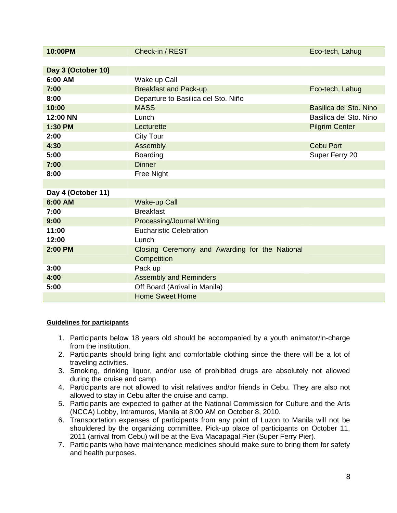| 10:00PM            | Check-in / REST                                | Eco-tech, Lahug        |
|--------------------|------------------------------------------------|------------------------|
|                    |                                                |                        |
| Day 3 (October 10) |                                                |                        |
| 6:00 AM            | Wake up Call                                   |                        |
| 7:00               | <b>Breakfast and Pack-up</b>                   | Eco-tech, Lahug        |
| 8:00               | Departure to Basilica del Sto. Niño            |                        |
| 10:00              | <b>MASS</b>                                    | Basilica del Sto. Nino |
| 12:00 NN           | Lunch                                          | Basilica del Sto. Nino |
| 1:30 PM            | Lecturette                                     | <b>Pilgrim Center</b>  |
| 2:00               | <b>City Tour</b>                               |                        |
| 4:30               | Assembly                                       | <b>Cebu Port</b>       |
| 5:00               | Boarding                                       | Super Ferry 20         |
| 7:00               | <b>Dinner</b>                                  |                        |
| 8:00               | Free Night                                     |                        |
|                    |                                                |                        |
| Day 4 (October 11) |                                                |                        |
| 6:00 AM            | <b>Wake-up Call</b>                            |                        |
| 7:00               | <b>Breakfast</b>                               |                        |
| 9:00               | <b>Processing/Journal Writing</b>              |                        |
| 11:00              | <b>Eucharistic Celebration</b>                 |                        |
| 12:00              | Lunch                                          |                        |
| 2:00 PM            | Closing Ceremony and Awarding for the National |                        |
|                    | Competition                                    |                        |
| 3:00               | Pack up                                        |                        |
| 4:00               | <b>Assembly and Reminders</b>                  |                        |
| 5:00               | Off Board (Arrival in Manila)                  |                        |
|                    | <b>Home Sweet Home</b>                         |                        |

### **Guidelines for participants**

- 1. Participants below 18 years old should be accompanied by a youth animator/in-charge from the institution.
- 2. Participants should bring light and comfortable clothing since the there will be a lot of traveling activities.
- 3. Smoking, drinking liquor, and/or use of prohibited drugs are absolutely not allowed during the cruise and camp.
- 4. Participants are not allowed to visit relatives and/or friends in Cebu. They are also not allowed to stay in Cebu after the cruise and camp.
- 5. Participants are expected to gather at the National Commission for Culture and the Arts (NCCA) Lobby, Intramuros, Manila at 8:00 AM on October 8, 2010.
- 6. Transportation expenses of participants from any point of Luzon to Manila will not be shouldered by the organizing committee. Pick-up place of participants on October 11, 2011 (arrival from Cebu) will be at the Eva Macapagal Pier (Super Ferry Pier).
- 7. Participants who have maintenance medicines should make sure to bring them for safety and health purposes.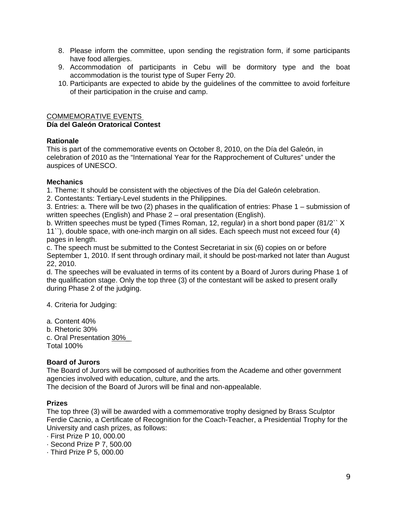- 8. Please inform the committee, upon sending the registration form, if some participants have food allergies.
- 9. Accommodation of participants in Cebu will be dormitory type and the boat accommodation is the tourist type of Super Ferry 20.
- 10. Participants are expected to abide by the guidelines of the committee to avoid forfeiture of their participation in the cruise and camp.

## COMMEMORATIVE EVENTS **Día del Galeón Oratorical Contest**

## **Rationale**

This is part of the commemorative events on October 8, 2010, on the Día del Galeón, in celebration of 2010 as the "International Year for the Rapprochement of Cultures" under the auspices of UNESCO.

## **Mechanics**

1. Theme: It should be consistent with the objectives of the Día del Galeón celebration.

2. Contestants: Tertiary-Level students in the Philippines.

3. Entries: a. There will be two (2) phases in the qualification of entries: Phase 1 – submission of written speeches (English) and Phase 2 – oral presentation (English).

b. Written speeches must be typed (Times Roman, 12, regular) in a short bond paper (81/2`` X 11``), double space, with one-inch margin on all sides. Each speech must not exceed four (4) pages in length.

c. The speech must be submitted to the Contest Secretariat in six (6) copies on or before September 1, 2010. If sent through ordinary mail, it should be post-marked not later than August 22, 2010.

d. The speeches will be evaluated in terms of its content by a Board of Jurors during Phase 1 of the qualification stage. Only the top three (3) of the contestant will be asked to present orally during Phase 2 of the judging.

4. Criteria for Judging:

a. Content 40%

b. Rhetoric 30%

c. Oral Presentation 30%\_ Total 100%

# **Board of Jurors**

The Board of Jurors will be composed of authorities from the Academe and other government agencies involved with education, culture, and the arts.

The decision of the Board of Jurors will be final and non-appealable.

### **Prizes**

The top three (3) will be awarded with a commemorative trophy designed by Brass Sculptor Ferdie Cacnio, a Certificate of Recognition for the Coach-Teacher, a Presidential Trophy for the University and cash prizes, as follows:

· First Prize P 10, 000.00

· Second Prize P 7, 500.00

· Third Prize P 5, 000.00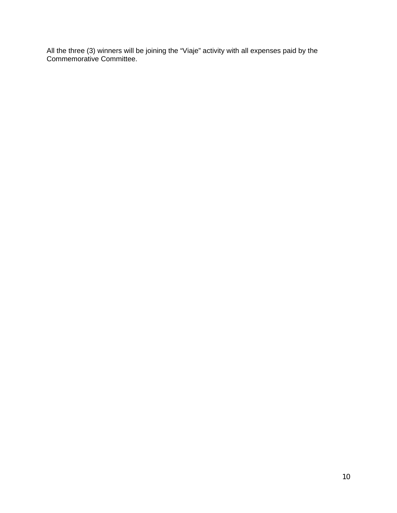All the three (3) winners will be joining the "Viaje" activity with all expenses paid by the Commemorative Committee.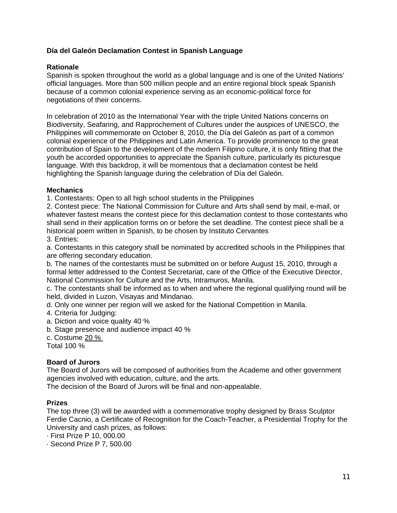## **Día del Galeón Declamation Contest in Spanish Language**

#### **Rationale**

Spanish is spoken throughout the world as a global language and is one of the United Nations' official languages. More than 500 million people and an entire regional block speak Spanish because of a common colonial experience serving as an economic-political force for negotiations of their concerns.

In celebration of 2010 as the International Year with the triple United Nations concerns on Biodiversity, Seafaring, and Rapprochement of Cultures under the auspices of UNESCO, the Philippines will commemorate on October 8, 2010, the Día del Galeón as part of a common colonial experience of the Philippines and Latin America. To provide prominence to the great contribution of Spain to the development of the modern Filipino culture, it is only fitting that the youth be accorded opportunities to appreciate the Spanish culture, particularly its picturesque language. With this backdrop, it will be momentous that a declamation contest be held highlighting the Spanish language during the celebration of Día del Galeón.

#### **Mechanics**

1. Contestants: Open to all high school students in the Philippines

2. Contest piece: The National Commission for Culture and Arts shall send by mail, e-mail, or whatever fastest means the contest piece for this declamation contest to those contestants who shall send in their application forms on or before the set deadline. The contest piece shall be a historical poem written in Spanish, to be chosen by Instituto Cervantes

3. Entries:

a. Contestants in this category shall be nominated by accredited schools in the Philippines that are offering secondary education.

b. The names of the contestants must be submitted on or before August 15, 2010, through a formal letter addressed to the Contest Secretariat, care of the Office of the Executive Director, National Commission for Culture and the Arts, Intramuros, Manila.

c. The contestants shall be informed as to when and where the regional qualifying round will be held, divided in Luzon, Visayas and Mindanao.

d. Only one winner per region will we asked for the National Competition in Manila.

4. Criteria for Judging:

a. Diction and voice quality 40 %

b. Stage presence and audience impact 40 %

c. Costume 20 %

Total 100 %

### **Board of Jurors**

The Board of Jurors will be composed of authorities from the Academe and other government agencies involved with education, culture, and the arts.

The decision of the Board of Jurors will be final and non-appealable.

#### **Prizes**

The top three (3) will be awarded with a commemorative trophy designed by Brass Sculptor Ferdie Cacnio, a Certificate of Recognition for the Coach-Teacher, a Presidential Trophy for the University and cash prizes, as follows:

· First Prize P 10, 000.00

· Second Prize P 7, 500.00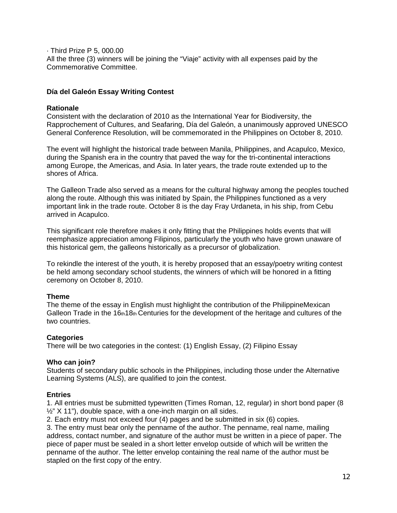· Third Prize P 5, 000.00 All the three (3) winners will be joining the "Viaje" activity with all expenses paid by the Commemorative Committee.

#### **Día del Galeón Essay Writing Contest**

#### **Rationale**

Consistent with the declaration of 2010 as the International Year for Biodiversity, the Rapprochement of Cultures, and Seafaring, Día del Galeón, a unanimously approved UNESCO General Conference Resolution, will be commemorated in the Philippines on October 8, 2010.

The event will highlight the historical trade between Manila, Philippines, and Acapulco, Mexico, during the Spanish era in the country that paved the way for the tri-continental interactions among Europe, the Americas, and Asia. In later years, the trade route extended up to the shores of Africa.

The Galleon Trade also served as a means for the cultural highway among the peoples touched along the route. Although this was initiated by Spain, the Philippines functioned as a very important link in the trade route. October 8 is the day Fray Urdaneta, in his ship, from Cebu arrived in Acapulco.

This significant role therefore makes it only fitting that the Philippines holds events that will reemphasize appreciation among Filipinos, particularly the youth who have grown unaware of this historical gem, the galleons historically as a precursor of globalization.

To rekindle the interest of the youth, it is hereby proposed that an essay/poetry writing contest be held among secondary school students, the winners of which will be honored in a fitting ceremony on October 8, 2010.

### **Theme**

The theme of the essay in English must highlight the contribution of the PhilippineMexican Galleon Trade in the 16th18th Centuries for the development of the heritage and cultures of the two countries.

### **Categories**

There will be two categories in the contest: (1) English Essay, (2) Filipino Essay

#### **Who can join?**

Students of secondary public schools in the Philippines, including those under the Alternative Learning Systems (ALS), are qualified to join the contest.

### **Entries**

1. All entries must be submitted typewritten (Times Roman, 12, regular) in short bond paper (8  $\frac{1}{2}$ " X 11"), double space, with a one-inch margin on all sides.

2. Each entry must not exceed four (4) pages and be submitted in six (6) copies.

3. The entry must bear only the penname of the author. The penname, real name, mailing address, contact number, and signature of the author must be written in a piece of paper. The piece of paper must be sealed in a short letter envelop outside of which will be written the penname of the author. The letter envelop containing the real name of the author must be stapled on the first copy of the entry.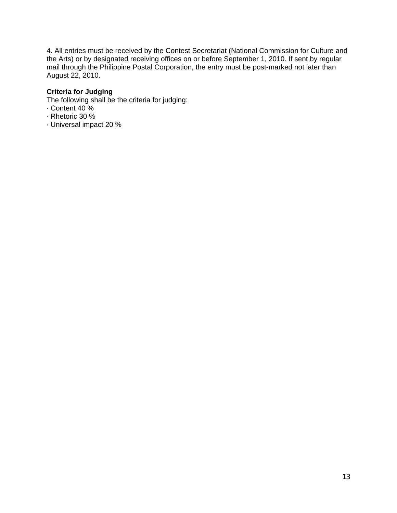4. All entries must be received by the Contest Secretariat (National Commission for Culture and the Arts) or by designated receiving offices on or before September 1, 2010. If sent by regular mail through the Philippine Postal Corporation, the entry must be post-marked not later than August 22, 2010.

### **Criteria for Judging**

The following shall be the criteria for judging:

- · Content 40 %
- · Rhetoric 30 %
- · Universal impact 20 %